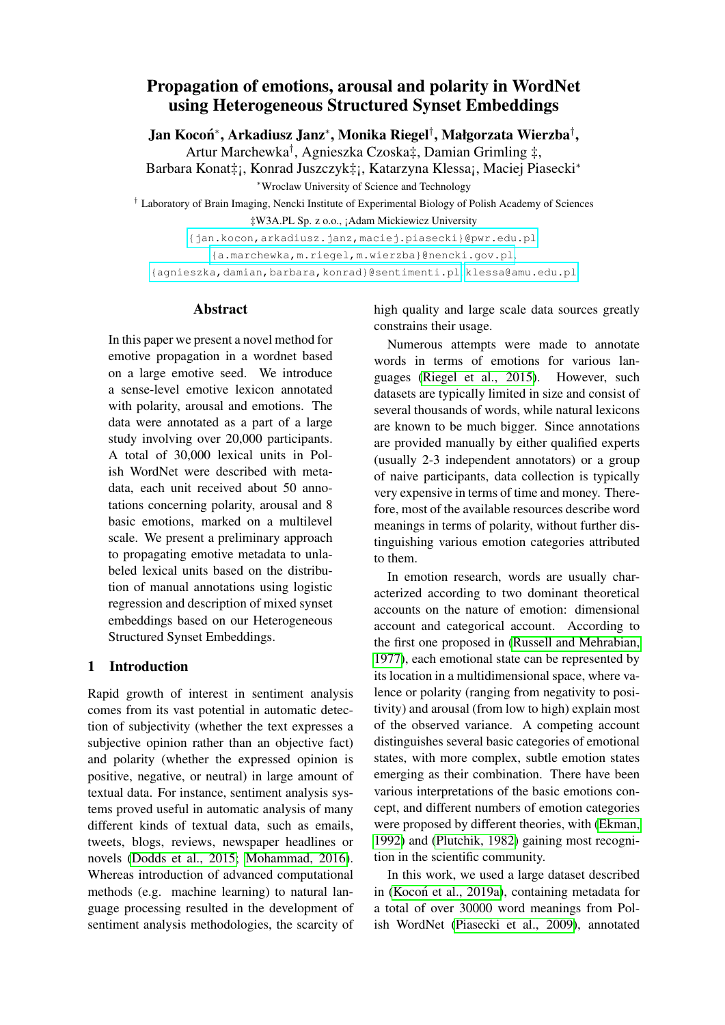# Propagation of emotions, arousal and polarity in WordNet using Heterogeneous Structured Synset Embeddings

Jan Kocoń\*, Arkadiusz Janz\*, Monika Riegel†, Małgorzata Wierzba<sup>†</sup>,

Artur Marchewka† , Agnieszka Czoska‡, Damian Grimling ‡,

Barbara Konat‡¡, Konrad Juszczyk‡¡, Katarzyna Klessa¡, Maciej Piasecki<sup>∗</sup> <sup>∗</sup>Wroclaw University of Science and Technology

† Laboratory of Brain Imaging, Nencki Institute of Experimental Biology of Polish Academy of Sciences ‡W3A.PL Sp. z o.o., ¡Adam Mickiewicz University

[{jan.kocon,arkadiusz.janz,maciej.piasecki}@pwr.edu.pl]({jan.kocon, arkadiusz.janz, maciej.piasecki}@pwr.edu.pl),

[{a.marchewka,m.riegel,m.wierzba}@nencki.gov.pl]({a.marchewka, m.riegel, m.wierzba}@nencki.gov.pl),

[{agnieszka,damian,barbara,konrad}@sentimenti.pl]({agnieszka, damian, barbara, konrad}@sentimenti.pl), <klessa@amu.edu.pl>

### **Abstract**

In this paper we present a novel method for emotive propagation in a wordnet based on a large emotive seed. We introduce a sense-level emotive lexicon annotated with polarity, arousal and emotions. The data were annotated as a part of a large study involving over 20,000 participants. A total of 30,000 lexical units in Polish WordNet were described with metadata, each unit received about 50 annotations concerning polarity, arousal and 8 basic emotions, marked on a multilevel scale. We present a preliminary approach to propagating emotive metadata to unlabeled lexical units based on the distribution of manual annotations using logistic regression and description of mixed synset embeddings based on our Heterogeneous Structured Synset Embeddings.

# 1 Introduction

Rapid growth of interest in sentiment analysis comes from its vast potential in automatic detection of subjectivity (whether the text expresses a subjective opinion rather than an objective fact) and polarity (whether the expressed opinion is positive, negative, or neutral) in large amount of textual data. For instance, sentiment analysis systems proved useful in automatic analysis of many different kinds of textual data, such as emails, tweets, blogs, reviews, newspaper headlines or novels [\(Dodds et al., 2015;](#page-4-0) [Mohammad, 2016\)](#page-5-0). Whereas introduction of advanced computational methods (e.g. machine learning) to natural language processing resulted in the development of sentiment analysis methodologies, the scarcity of high quality and large scale data sources greatly constrains their usage.

Numerous attempts were made to annotate words in terms of emotions for various languages [\(Riegel et al., 2015\)](#page-5-1). However, such datasets are typically limited in size and consist of several thousands of words, while natural lexicons are known to be much bigger. Since annotations are provided manually by either qualified experts (usually 2-3 independent annotators) or a group of naive participants, data collection is typically very expensive in terms of time and money. Therefore, most of the available resources describe word meanings in terms of polarity, without further distinguishing various emotion categories attributed to them.

In emotion research, words are usually characterized according to two dominant theoretical accounts on the nature of emotion: dimensional account and categorical account. According to the first one proposed in [\(Russell and Mehrabian,](#page-5-2) [1977\)](#page-5-2), each emotional state can be represented by its location in a multidimensional space, where valence or polarity (ranging from negativity to positivity) and arousal (from low to high) explain most of the observed variance. A competing account distinguishes several basic categories of emotional states, with more complex, subtle emotion states emerging as their combination. There have been various interpretations of the basic emotions concept, and different numbers of emotion categories were proposed by different theories, with [\(Ekman,](#page-4-1) [1992\)](#page-4-1) and [\(Plutchik, 1982\)](#page-5-3) gaining most recognition in the scientific community.

In this work, we used a large dataset described in [\(Kocon et al., 2019a\)](#page-5-4), containing metadata for a total of over 30000 word meanings from Polish WordNet [\(Piasecki et al., 2009\)](#page-5-5), annotated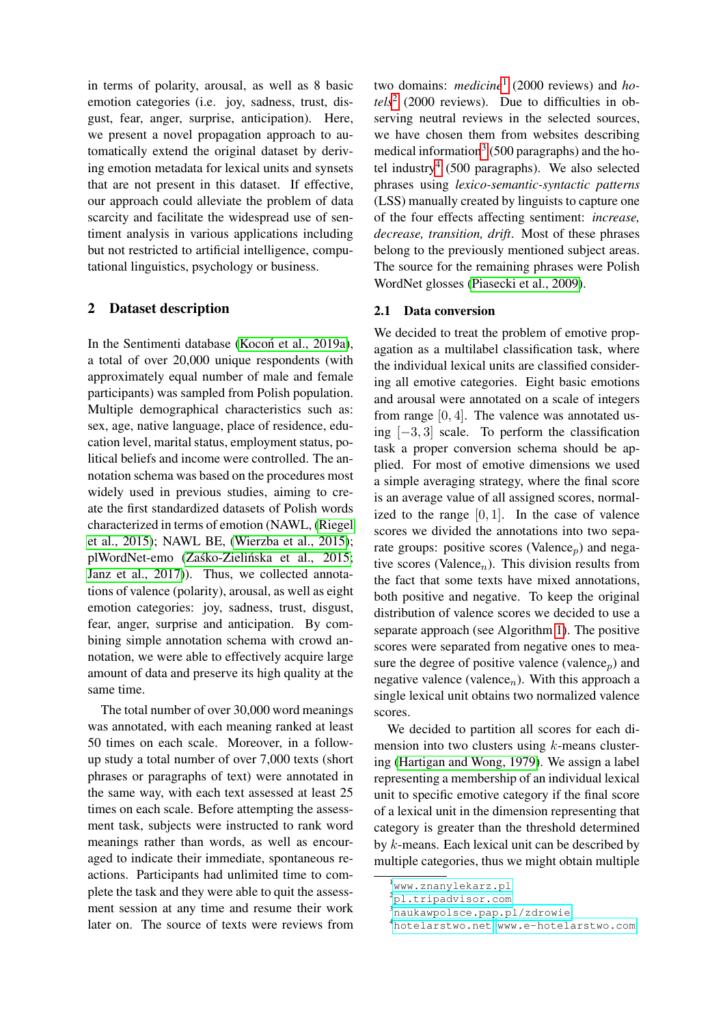in terms of polarity, arousal, as well as 8 basic emotion categories (i.e. joy, sadness, trust, disgust, fear, anger, surprise, anticipation). Here, we present a novel propagation approach to automatically extend the original dataset by deriving emotion metadata for lexical units and synsets that are not present in this dataset. If effective, our approach could alleviate the problem of data scarcity and facilitate the widespread use of sentiment analysis in various applications including but not restricted to artificial intelligence, computational linguistics, psychology or business.

### 2 Dataset description

In the Sentimenti database [\(Kocon et al., 2019a\)](#page-5-4), a total of over 20,000 unique respondents (with approximately equal number of male and female participants) was sampled from Polish population. Multiple demographical characteristics such as: sex, age, native language, place of residence, education level, marital status, employment status, political beliefs and income were controlled. The annotation schema was based on the procedures most widely used in previous studies, aiming to create the first standardized datasets of Polish words characterized in terms of emotion (NAWL, [\(Riegel](#page-5-1) [et al., 2015\)](#page-5-1); NAWL BE, [\(Wierzba et al., 2015\)](#page-5-6); plWordNet-emo (Zaśko-Zielińska et al., 2015; [Janz et al., 2017\)](#page-4-2)). Thus, we collected annotations of valence (polarity), arousal, as well as eight emotion categories: joy, sadness, trust, disgust, fear, anger, surprise and anticipation. By combining simple annotation schema with crowd annotation, we were able to effectively acquire large amount of data and preserve its high quality at the same time.

The total number of over 30,000 word meanings was annotated, with each meaning ranked at least 50 times on each scale. Moreover, in a followup study a total number of over 7,000 texts (short phrases or paragraphs of text) were annotated in the same way, with each text assessed at least 25 times on each scale. Before attempting the assessment task, subjects were instructed to rank word meanings rather than words, as well as encouraged to indicate their immediate, spontaneous reactions. Participants had unlimited time to complete the task and they were able to quit the assessment session at any time and resume their work later on. The source of texts were reviews from

two domains: *medicine*[1](#page-1-0) (2000 reviews) and *ho-* $tels<sup>2</sup>$  $tels<sup>2</sup>$  $tels<sup>2</sup>$  (2000 reviews). Due to difficulties in observing neutral reviews in the selected sources, we have chosen them from websites describing medical information<sup>[3](#page-1-2)</sup> (500 paragraphs) and the ho-tel industry<sup>[4](#page-1-3)</sup> (500 paragraphs). We also selected phrases using *lexico-semantic-syntactic patterns* (LSS) manually created by linguists to capture one of the four effects affecting sentiment: *increase, decrease, transition, drift*. Most of these phrases belong to the previously mentioned subject areas. The source for the remaining phrases were Polish WordNet glosses [\(Piasecki et al., 2009\)](#page-5-5).

### 2.1 Data conversion

We decided to treat the problem of emotive propagation as a multilabel classification task, where the individual lexical units are classified considering all emotive categories. Eight basic emotions and arousal were annotated on a scale of integers from range [0, 4]. The valence was annotated using [−3, 3] scale. To perform the classification task a proper conversion schema should be applied. For most of emotive dimensions we used a simple averaging strategy, where the final score is an average value of all assigned scores, normalized to the range  $[0, 1]$ . In the case of valence scores we divided the annotations into two separate groups: positive scores (Valence<sub>p</sub>) and negative scores (Valence<sub>n</sub>). This division results from the fact that some texts have mixed annotations, both positive and negative. To keep the original distribution of valence scores we decided to use a separate approach (see Algorithm [1\)](#page-2-0). The positive scores were separated from negative ones to measure the degree of positive valence (valence<sub>n</sub>) and negative valence (valence<sub>n</sub>). With this approach a single lexical unit obtains two normalized valence scores.

We decided to partition all scores for each dimension into two clusters using  $k$ -means clustering [\(Hartigan and Wong, 1979\)](#page-4-3). We assign a label representing a membership of an individual lexical unit to specific emotive category if the final score of a lexical unit in the dimension representing that category is greater than the threshold determined by k-means. Each lexical unit can be described by multiple categories, thus we might obtain multiple

<span id="page-1-0"></span><sup>1</sup><www.znanylekarz.pl>

<span id="page-1-1"></span><sup>2</sup><pl.tripadvisor.com>

<span id="page-1-2"></span><sup>3</sup><naukawpolsce.pap.pl/zdrowie>

<span id="page-1-3"></span><sup>4</sup><hotelarstwo.net>, <www.e-hotelarstwo.com>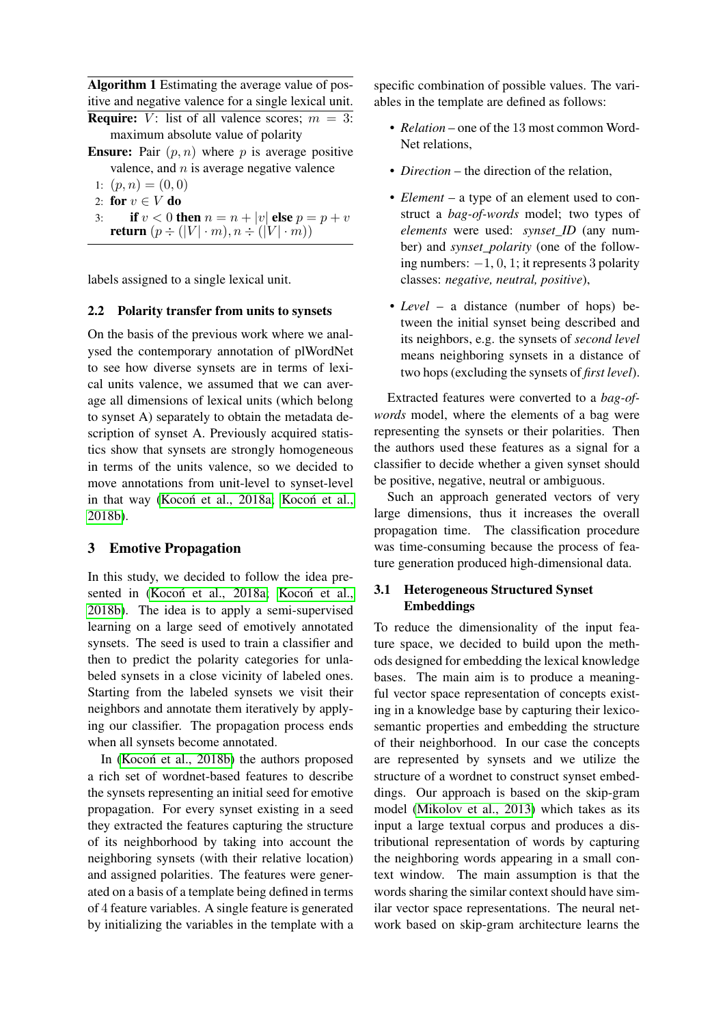<span id="page-2-0"></span>Algorithm 1 Estimating the average value of positive and negative valence for a single lexical unit. **Require:** V: list of all valence scores;  $m = 3$ : maximum absolute value of polarity

- **Ensure:** Pair  $(p, n)$  where p is average positive valence, and  $n$  is average negative valence
	- 1:  $(p, n) = (0, 0)$
- 2: for  $v \in V$  do
- 3: **if**  $v < 0$  **then**  $n = n + |v|$  **else**  $p = p + v$ return  $(p \div (|V| \cdot m), n \div (|V| \cdot m))$

labels assigned to a single lexical unit.

### 2.2 Polarity transfer from units to synsets

On the basis of the previous work where we analysed the contemporary annotation of plWordNet to see how diverse synsets are in terms of lexical units valence, we assumed that we can average all dimensions of lexical units (which belong to synset A) separately to obtain the metadata description of synset A. Previously acquired statistics show that synsets are strongly homogeneous in terms of the units valence, so we decided to move annotations from unit-level to synset-level in that way (Kocoń et al., 2018a; Kocoń et al., [2018b\)](#page-5-9).

## 3 Emotive Propagation

In this study, we decided to follow the idea presented in (Kocoń et al., 2018a; Kocoń et al., [2018b\)](#page-5-9). The idea is to apply a semi-supervised learning on a large seed of emotively annotated synsets. The seed is used to train a classifier and then to predict the polarity categories for unlabeled synsets in a close vicinity of labeled ones. Starting from the labeled synsets we visit their neighbors and annotate them iteratively by applying our classifier. The propagation process ends when all synsets become annotated.

In [\(Kocon et al., 2018b\)](#page-5-9) the authors proposed a rich set of wordnet-based features to describe the synsets representing an initial seed for emotive propagation. For every synset existing in a seed they extracted the features capturing the structure of its neighborhood by taking into account the neighboring synsets (with their relative location) and assigned polarities. The features were generated on a basis of a template being defined in terms of 4 feature variables. A single feature is generated by initializing the variables in the template with a specific combination of possible values. The variables in the template are defined as follows:

- *Relation* one of the 13 most common Word-Net relations,
- *Direction* the direction of the relation.
- *Element* a type of an element used to construct a *bag-of-words* model; two types of *elements* were used: *synset\_ID* (any number) and *synset\_polarity* (one of the following numbers:  $-1$ , 0, 1; it represents 3 polarity classes: *negative, neutral, positive*),
- *Level* a distance (number of hops) between the initial synset being described and its neighbors, e.g. the synsets of *second level* means neighboring synsets in a distance of two hops (excluding the synsets of *first level*).

Extracted features were converted to a *bag-ofwords* model, where the elements of a bag were representing the synsets or their polarities. Then the authors used these features as a signal for a classifier to decide whether a given synset should be positive, negative, neutral or ambiguous.

Such an approach generated vectors of very large dimensions, thus it increases the overall propagation time. The classification procedure was time-consuming because the process of feature generation produced high-dimensional data.

# 3.1 Heterogeneous Structured Synset Embeddings

To reduce the dimensionality of the input feature space, we decided to build upon the methods designed for embedding the lexical knowledge bases. The main aim is to produce a meaningful vector space representation of concepts existing in a knowledge base by capturing their lexicosemantic properties and embedding the structure of their neighborhood. In our case the concepts are represented by synsets and we utilize the structure of a wordnet to construct synset embeddings. Our approach is based on the skip-gram model [\(Mikolov et al., 2013\)](#page-5-10) which takes as its input a large textual corpus and produces a distributional representation of words by capturing the neighboring words appearing in a small context window. The main assumption is that the words sharing the similar context should have similar vector space representations. The neural network based on skip-gram architecture learns the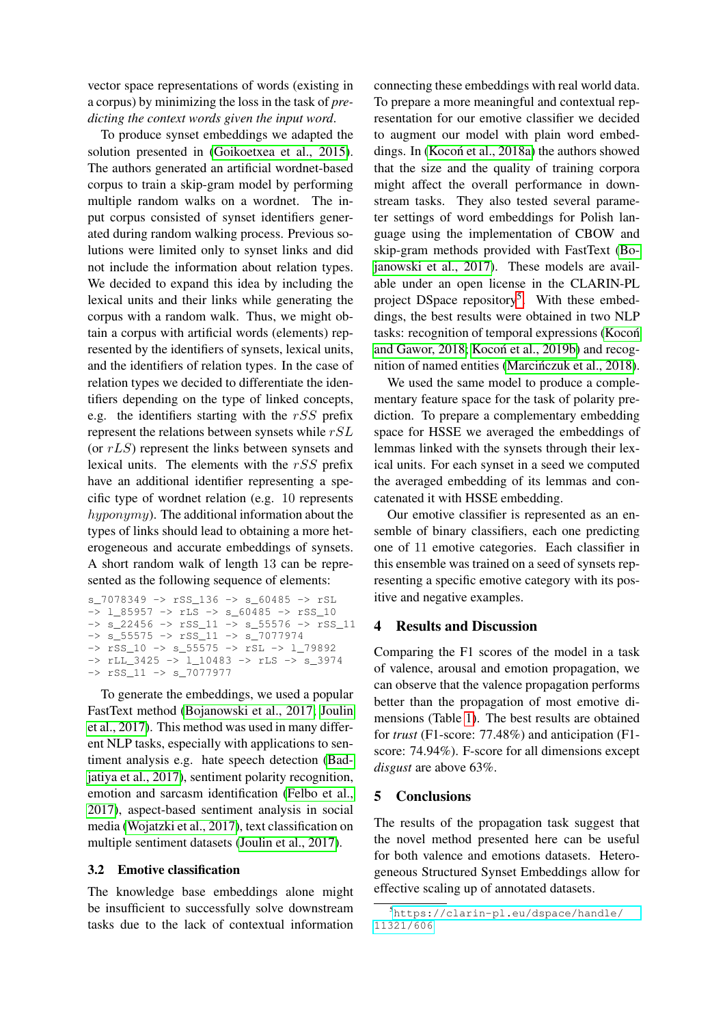vector space representations of words (existing in a corpus) by minimizing the loss in the task of *predicting the context words given the input word*.

To produce synset embeddings we adapted the solution presented in [\(Goikoetxea et al., 2015\)](#page-4-4). The authors generated an artificial wordnet-based corpus to train a skip-gram model by performing multiple random walks on a wordnet. The input corpus consisted of synset identifiers generated during random walking process. Previous solutions were limited only to synset links and did not include the information about relation types. We decided to expand this idea by including the lexical units and their links while generating the corpus with a random walk. Thus, we might obtain a corpus with artificial words (elements) represented by the identifiers of synsets, lexical units, and the identifiers of relation types. In the case of relation types we decided to differentiate the identifiers depending on the type of linked concepts, e.g. the identifiers starting with the  $rSS$  prefix represent the relations between synsets while  $rSL$ (or  $rLS$ ) represent the links between synsets and lexical units. The elements with the rSS prefix have an additional identifier representing a specific type of wordnet relation (e.g. 10 represents hyponymy). The additional information about the types of links should lead to obtaining a more heterogeneous and accurate embeddings of synsets. A short random walk of length 13 can be represented as the following sequence of elements:

s\_7078349 -> rSS\_136 -> s\_60485 -> rSL  $\overline{1}$   $\sqrt{35957}$   $\rightarrow$  rLS  $\rightarrow$  s  $\sqrt{60485}$   $\rightarrow$  rSS  $\sqrt{10}$ -> s\_22456 -> rSS\_11 -> s\_55576 -> rSS\_11 -> s\_55575 -> rSS\_11 -> s\_7077974 -> rSS\_10 -> s\_55575 -> rSL -> l\_79892 -> rLL\_3425 -> l\_10483 -> rLS -> s\_3974 -> rSS\_11 -> s\_7077977

To generate the embeddings, we used a popular FastText method [\(Bojanowski et al., 2017;](#page-4-5) [Joulin](#page-4-6) [et al., 2017\)](#page-4-6). This method was used in many different NLP tasks, especially with applications to sentiment analysis e.g. hate speech detection [\(Bad](#page-4-7)[jatiya et al., 2017\)](#page-4-7), sentiment polarity recognition, emotion and sarcasm identification [\(Felbo et al.,](#page-4-8) [2017\)](#page-4-8), aspect-based sentiment analysis in social media [\(Wojatzki et al., 2017\)](#page-5-11), text classification on multiple sentiment datasets [\(Joulin et al., 2017\)](#page-4-6).

### 3.2 Emotive classification

The knowledge base embeddings alone might be insufficient to successfully solve downstream tasks due to the lack of contextual information

connecting these embeddings with real world data. To prepare a more meaningful and contextual representation for our emotive classifier we decided to augment our model with plain word embeddings. In (Kocoń et al., 2018a) the authors showed that the size and the quality of training corpora might affect the overall performance in downstream tasks. They also tested several parameter settings of word embeddings for Polish language using the implementation of CBOW and skip-gram methods provided with FastText [\(Bo](#page-4-5)[janowski et al., 2017\)](#page-4-5). These models are available under an open license in the CLARIN-PL project DSpace repository<sup>[5](#page-3-0)</sup>. With these embeddings, the best results were obtained in two NLP tasks: recognition of temporal expressions [\(Kocon´](#page-5-12) [and Gawor, 2018;](#page-5-12) Kocoń et al., 2019b) and recog-nition of named entities [\(Marcinczuk et al., 2018\)](#page-5-14).

We used the same model to produce a complementary feature space for the task of polarity prediction. To prepare a complementary embedding space for HSSE we averaged the embeddings of lemmas linked with the synsets through their lexical units. For each synset in a seed we computed the averaged embedding of its lemmas and concatenated it with HSSE embedding.

Our emotive classifier is represented as an ensemble of binary classifiers, each one predicting one of 11 emotive categories. Each classifier in this ensemble was trained on a seed of synsets representing a specific emotive category with its positive and negative examples.

### 4 Results and Discussion

Comparing the F1 scores of the model in a task of valence, arousal and emotion propagation, we can observe that the valence propagation performs better than the propagation of most emotive dimensions (Table [1\)](#page-4-9). The best results are obtained for *trust* (F1-score: 77.48%) and anticipation (F1 score: 74.94%). F-score for all dimensions except *disgust* are above 63%.

### 5 Conclusions

The results of the propagation task suggest that the novel method presented here can be useful for both valence and emotions datasets. Heterogeneous Structured Synset Embeddings allow for effective scaling up of annotated datasets.

<span id="page-3-0"></span><sup>5</sup>[https://clarin-pl.eu/dspace/handle/](https://clarin-pl.eu/dspace/handle/11321/606) [11321/606](https://clarin-pl.eu/dspace/handle/11321/606)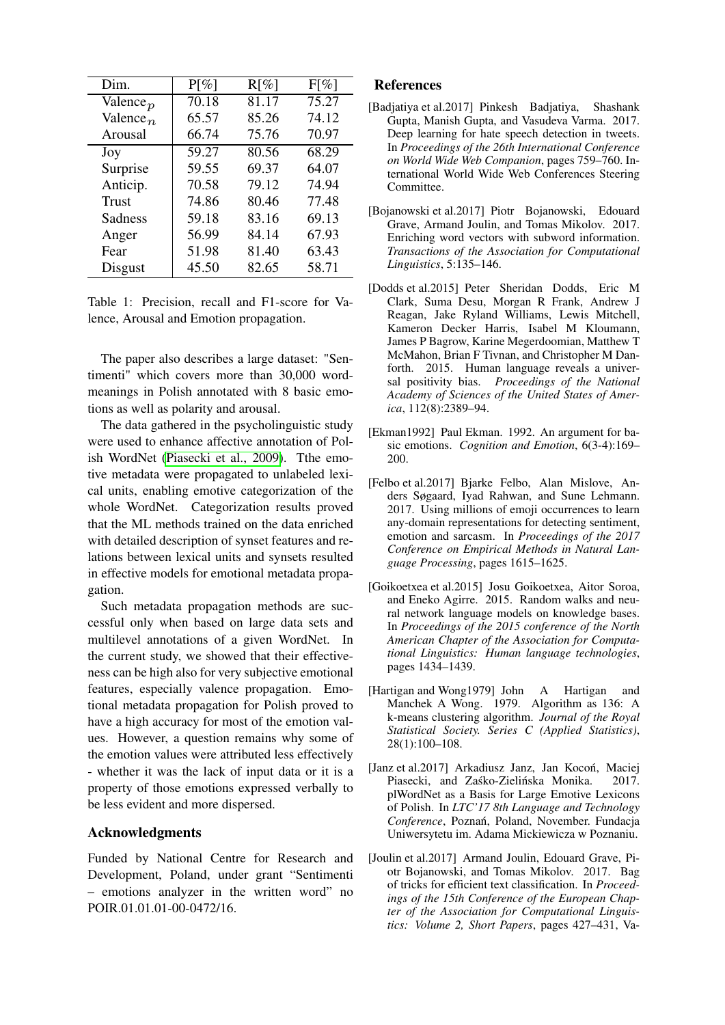| Dim.                 | $P[\%]$ | $R[\%]$ | $F[\%]$ |
|----------------------|---------|---------|---------|
| Valence $_p$         | 70.18   | 81.17   | 75.27   |
| Valence <sub>n</sub> | 65.57   | 85.26   | 74.12   |
| Arousal              | 66.74   | 75.76   | 70.97   |
| Joy                  | 59.27   | 80.56   | 68.29   |
| Surprise             | 59.55   | 69.37   | 64.07   |
| Anticip.             | 70.58   | 79.12   | 74.94   |
| <b>Trust</b>         | 74.86   | 80.46   | 77.48   |
| Sadness              | 59.18   | 83.16   | 69.13   |
| Anger                | 56.99   | 84.14   | 67.93   |
| Fear                 | 51.98   | 81.40   | 63.43   |
| <b>Disgust</b>       | 45.50   | 82.65   | 58.71   |

<span id="page-4-9"></span>Table 1: Precision, recall and F1-score for Valence, Arousal and Emotion propagation.

The paper also describes a large dataset: "Sentimenti" which covers more than 30,000 wordmeanings in Polish annotated with 8 basic emotions as well as polarity and arousal.

The data gathered in the psycholinguistic study were used to enhance affective annotation of Polish WordNet [\(Piasecki et al., 2009\)](#page-5-5). Tthe emotive metadata were propagated to unlabeled lexical units, enabling emotive categorization of the whole WordNet. Categorization results proved that the ML methods trained on the data enriched with detailed description of synset features and relations between lexical units and synsets resulted in effective models for emotional metadata propagation.

Such metadata propagation methods are successful only when based on large data sets and multilevel annotations of a given WordNet. In the current study, we showed that their effectiveness can be high also for very subjective emotional features, especially valence propagation. Emotional metadata propagation for Polish proved to have a high accuracy for most of the emotion values. However, a question remains why some of the emotion values were attributed less effectively - whether it was the lack of input data or it is a property of those emotions expressed verbally to be less evident and more dispersed.

## Acknowledgments

Funded by National Centre for Research and Development, Poland, under grant "Sentimenti – emotions analyzer in the written word" no POIR.01.01.01-00-0472/16.

### References

- <span id="page-4-7"></span>[Badjatiya et al.2017] Pinkesh Badjatiya, Shashank Gupta, Manish Gupta, and Vasudeva Varma. 2017. Deep learning for hate speech detection in tweets. In *Proceedings of the 26th International Conference on World Wide Web Companion*, pages 759–760. International World Wide Web Conferences Steering Committee.
- <span id="page-4-5"></span>[Bojanowski et al.2017] Piotr Bojanowski, Edouard Grave, Armand Joulin, and Tomas Mikolov. 2017. Enriching word vectors with subword information. *Transactions of the Association for Computational Linguistics*, 5:135–146.
- <span id="page-4-0"></span>[Dodds et al.2015] Peter Sheridan Dodds, Eric M Clark, Suma Desu, Morgan R Frank, Andrew J Reagan, Jake Ryland Williams, Lewis Mitchell, Kameron Decker Harris, Isabel M Kloumann, James P Bagrow, Karine Megerdoomian, Matthew T McMahon, Brian F Tivnan, and Christopher M Danforth. 2015. Human language reveals a universal positivity bias. *Proceedings of the National Academy of Sciences of the United States of America*, 112(8):2389–94.
- <span id="page-4-1"></span>[Ekman1992] Paul Ekman. 1992. An argument for basic emotions. *Cognition and Emotion*, 6(3-4):169– 200.
- <span id="page-4-8"></span>[Felbo et al.2017] Bjarke Felbo, Alan Mislove, Anders Søgaard, Iyad Rahwan, and Sune Lehmann. 2017. Using millions of emoji occurrences to learn any-domain representations for detecting sentiment, emotion and sarcasm. In *Proceedings of the 2017 Conference on Empirical Methods in Natural Language Processing*, pages 1615–1625.
- <span id="page-4-4"></span>[Goikoetxea et al.2015] Josu Goikoetxea, Aitor Soroa, and Eneko Agirre. 2015. Random walks and neural network language models on knowledge bases. In *Proceedings of the 2015 conference of the North American Chapter of the Association for Computational Linguistics: Human language technologies*, pages 1434–1439.
- <span id="page-4-3"></span>[Hartigan and Wong1979] John A Hartigan and Manchek A Wong. 1979. Algorithm as 136: A k-means clustering algorithm. *Journal of the Royal Statistical Society. Series C (Applied Statistics)*, 28(1):100–108.
- <span id="page-4-2"></span>[Janz et al.2017] Arkadiusz Janz, Jan Kocoń, Maciej Piasecki, and Zaśko-Zielińska Monika. 2017. plWordNet as a Basis for Large Emotive Lexicons of Polish. In *LTC'17 8th Language and Technology Conference*, Poznan, Poland, November. Fundacja ´ Uniwersytetu im. Adama Mickiewicza w Poznaniu.
- <span id="page-4-6"></span>[Joulin et al.2017] Armand Joulin, Edouard Grave, Piotr Bojanowski, and Tomas Mikolov. 2017. Bag of tricks for efficient text classification. In *Proceedings of the 15th Conference of the European Chapter of the Association for Computational Linguistics: Volume 2, Short Papers*, pages 427–431, Va-